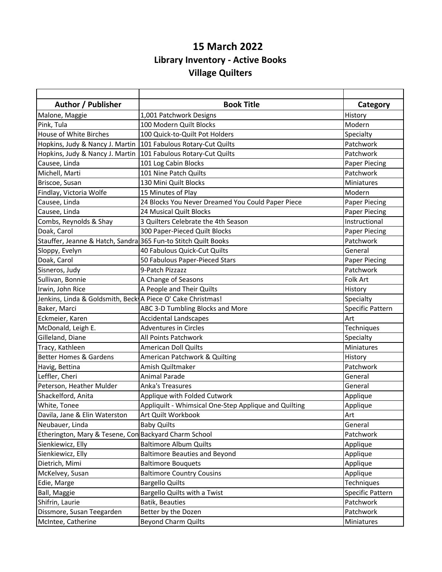## **15 March 2022 Library Inventory - Active Books Village Quilters**

| Author / Publisher                                             | <b>Book Title</b>                                     | Category                |
|----------------------------------------------------------------|-------------------------------------------------------|-------------------------|
| Malone, Maggie                                                 | 1,001 Patchwork Designs                               | History                 |
| Pink, Tula                                                     | 100 Modern Quilt Blocks                               | Modern                  |
| <b>House of White Birches</b>                                  | 100 Quick-to-Quilt Pot Holders                        | Specialty               |
| Hopkins, Judy & Nancy J. Martin                                | 101 Fabulous Rotary-Cut Quilts                        | Patchwork               |
| Hopkins, Judy & Nancy J. Martin                                | 101 Fabulous Rotary-Cut Quilts                        | Patchwork               |
| Causee, Linda                                                  | 101 Log Cabin Blocks                                  | Paper Piecing           |
| Michell, Marti                                                 | 101 Nine Patch Quilts                                 | Patchwork               |
| Briscoe, Susan                                                 | 130 Mini Quilt Blocks                                 | Miniatures              |
| Findlay, Victoria Wolfe                                        | 15 Minutes of Play                                    | Modern                  |
| Causee, Linda                                                  | 24 Blocks You Never Dreamed You Could Paper Piece     | Paper Piecing           |
| Causee, Linda                                                  | 24 Musical Quilt Blocks                               | <b>Paper Piecing</b>    |
| Combs, Reynolds & Shay                                         | 3 Quilters Celebrate the 4th Season                   | Instructional           |
| Doak, Carol                                                    | 300 Paper-Pieced Quilt Blocks                         | <b>Paper Piecing</b>    |
| Stauffer, Jeanne & Hatch, Sandra 365 Fun-to Stitch Quilt Books |                                                       | Patchwork               |
| Sloppy, Evelyn                                                 | 40 Fabulous Quick-Cut Quilts                          | General                 |
| Doak, Carol                                                    | 50 Fabulous Paper-Pieced Stars                        | <b>Paper Piecing</b>    |
| Sisneros, Judy                                                 | 9-Patch Pizzazz                                       | Patchwork               |
| Sullivan, Bonnie                                               | A Change of Seasons                                   | Folk Art                |
| Irwin, John Rice                                               | A People and Their Quilts                             | History                 |
| Jenkins, Linda & Goldsmith, Beck A Piece O' Cake Christmas!    |                                                       | Specialty               |
| Baker, Marci                                                   | ABC 3-D Tumbling Blocks and More                      | <b>Specific Pattern</b> |
| Eckmeier, Karen                                                | <b>Accidental Landscapes</b>                          | Art                     |
| McDonald, Leigh E.                                             | <b>Adventures in Circles</b>                          | Techniques              |
| Gilleland, Diane                                               | All Points Patchwork                                  | Specialty               |
| Tracy, Kathleen                                                | <b>American Doll Quilts</b>                           | Miniatures              |
| Better Homes & Gardens                                         | American Patchwork & Quilting                         | History                 |
| Havig, Bettina                                                 | Amish Quiltmaker                                      | Patchwork               |
| Leffler, Cheri                                                 | <b>Animal Parade</b>                                  | General                 |
| Peterson, Heather Mulder                                       | <b>Anka's Treasures</b>                               | General                 |
| Shackelford, Anita                                             | Applique with Folded Cutwork                          | Applique                |
| White, Tonee                                                   | Appliquilt - Whimsical One-Step Applique and Quilting | Applique                |
| Davila, Jane & Elin Waterston                                  | Art Quilt Workbook                                    | Art                     |
| Neubauer, Linda                                                | <b>Baby Quilts</b>                                    | General                 |
| Etherington, Mary & Tesene, Con Backyard Charm School          |                                                       | Patchwork               |
| Sienkiewicz, Elly                                              | <b>Baltimore Album Quilts</b>                         | Applique                |
| Sienkiewicz, Elly                                              | <b>Baltimore Beauties and Beyond</b>                  | Applique                |
| Dietrich, Mimi                                                 | <b>Baltimore Bouquets</b>                             | Applique                |
| McKelvey, Susan                                                | <b>Baltimore Country Cousins</b>                      | Applique                |
| Edie, Marge                                                    | <b>Bargello Quilts</b>                                | Techniques              |
| Ball, Maggie                                                   | Bargello Quilts with a Twist                          | Specific Pattern        |
| Shifrin, Laurie                                                | Batik, Beauties                                       | Patchwork               |
| Dissmore, Susan Teegarden                                      | Better by the Dozen                                   | Patchwork               |
| McIntee, Catherine                                             | <b>Beyond Charm Quilts</b>                            | Miniatures              |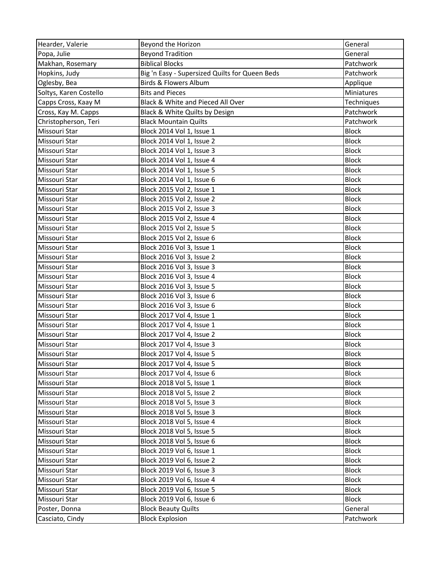| Hearder, Valerie       | Beyond the Horizon                             | General      |
|------------------------|------------------------------------------------|--------------|
| Popa, Julie            | <b>Beyond Tradition</b>                        | General      |
| Makhan, Rosemary       | <b>Biblical Blocks</b>                         | Patchwork    |
| Hopkins, Judy          | Big 'n Easy - Supersized Quilts for Queen Beds | Patchwork    |
| Oglesby, Bea           | <b>Birds &amp; Flowers Album</b>               | Applique     |
| Soltys, Karen Costello | <b>Bits and Pieces</b>                         | Miniatures   |
| Capps Cross, Kaay M    | Black & White and Pieced All Over              | Techniques   |
| Cross, Kay M. Capps    | Black & White Quilts by Design                 | Patchwork    |
| Christopherson, Teri   | <b>Black Mountain Quilts</b>                   | Patchwork    |
| Missouri Star          | Block 2014 Vol 1, Issue 1                      | <b>Block</b> |
| Missouri Star          | Block 2014 Vol 1, Issue 2                      | <b>Block</b> |
| Missouri Star          | Block 2014 Vol 1, Issue 3                      | <b>Block</b> |
| Missouri Star          | Block 2014 Vol 1, Issue 4                      | <b>Block</b> |
| Missouri Star          | Block 2014 Vol 1, Issue 5                      | <b>Block</b> |
| Missouri Star          | Block 2014 Vol 1, Issue 6                      | <b>Block</b> |
| Missouri Star          | Block 2015 Vol 2, Issue 1                      | <b>Block</b> |
| Missouri Star          | Block 2015 Vol 2, Issue 2                      | <b>Block</b> |
| Missouri Star          | Block 2015 Vol 2, Issue 3                      | <b>Block</b> |
| Missouri Star          | Block 2015 Vol 2, Issue 4                      | <b>Block</b> |
| Missouri Star          | Block 2015 Vol 2, Issue 5                      | <b>Block</b> |
| Missouri Star          | Block 2015 Vol 2, Issue 6                      | <b>Block</b> |
| Missouri Star          | Block 2016 Vol 3, Issue 1                      | <b>Block</b> |
| Missouri Star          | Block 2016 Vol 3, Issue 2                      | <b>Block</b> |
| Missouri Star          | Block 2016 Vol 3, Issue 3                      | <b>Block</b> |
| Missouri Star          | Block 2016 Vol 3, Issue 4                      | <b>Block</b> |
| Missouri Star          | Block 2016 Vol 3, Issue 5                      | <b>Block</b> |
| Missouri Star          | Block 2016 Vol 3, Issue 6                      | <b>Block</b> |
| Missouri Star          | Block 2016 Vol 3, Issue 6                      | <b>Block</b> |
| Missouri Star          | Block 2017 Vol 4, Issue 1                      | <b>Block</b> |
| Missouri Star          | Block 2017 Vol 4, Issue 1                      | <b>Block</b> |
| Missouri Star          | Block 2017 Vol 4, Issue 2                      | <b>Block</b> |
| Missouri Star          | Block 2017 Vol 4, Issue 3                      | <b>Block</b> |
| Missouri Star          | Block 2017 Vol 4, Issue 5                      | <b>Block</b> |
| Missouri Star          | Block 2017 Vol 4, Issue 5                      | <b>Block</b> |
| Missouri Star          | Block 2017 Vol 4, Issue 6                      | <b>Block</b> |
| Missouri Star          | Block 2018 Vol 5, Issue 1                      | <b>Block</b> |
| Missouri Star          | Block 2018 Vol 5, Issue 2                      | <b>Block</b> |
| Missouri Star          | Block 2018 Vol 5, Issue 3                      | <b>Block</b> |
| Missouri Star          | Block 2018 Vol 5, Issue 3                      | <b>Block</b> |
| Missouri Star          | Block 2018 Vol 5, Issue 4                      | <b>Block</b> |
| Missouri Star          | Block 2018 Vol 5, Issue 5                      | <b>Block</b> |
| Missouri Star          | Block 2018 Vol 5, Issue 6                      | <b>Block</b> |
| Missouri Star          | Block 2019 Vol 6, Issue 1                      | <b>Block</b> |
| Missouri Star          | Block 2019 Vol 6, Issue 2                      | <b>Block</b> |
| Missouri Star          | Block 2019 Vol 6, Issue 3                      | <b>Block</b> |
| Missouri Star          | Block 2019 Vol 6, Issue 4                      | <b>Block</b> |
| Missouri Star          | Block 2019 Vol 6, Issue 5                      | <b>Block</b> |
| Missouri Star          | Block 2019 Vol 6, Issue 6                      | <b>Block</b> |
| Poster, Donna          | <b>Block Beauty Quilts</b>                     | General      |
| Casciato, Cindy        | <b>Block Explosion</b>                         | Patchwork    |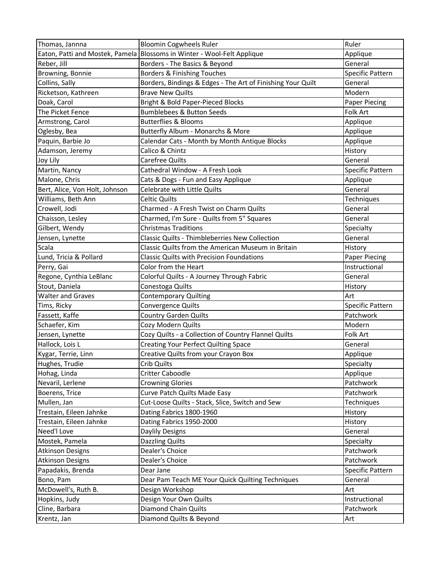| Thomas, Jannna                  | <b>Bloomin Cogwheels Ruler</b>                              | Ruler                |
|---------------------------------|-------------------------------------------------------------|----------------------|
| Eaton, Patti and Mostek, Pamela | Blossoms in Winter - Wool-Felt Applique                     | Applique             |
| Reber, Jill                     | Borders - The Basics & Beyond                               | General              |
| Browning, Bonnie                | Borders & Finishing Touches                                 | Specific Pattern     |
| Collins, Sally                  | Borders, Bindings & Edges - The Art of Finishing Your Quilt | General              |
| Ricketson, Kathreen             | <b>Brave New Quilts</b>                                     | Modern               |
| Doak, Carol                     | Bright & Bold Paper-Pieced Blocks                           | <b>Paper Piecing</b> |
| The Picket Fence                | <b>Bumblebees &amp; Button Seeds</b>                        | Folk Art             |
| Armstrong, Carol                | <b>Butterflies &amp; Blooms</b>                             | Applique             |
| Oglesby, Bea                    | Butterfly Album - Monarchs & More                           | Applique             |
| Paquin, Barbie Jo               | Calendar Cats - Month by Month Antique Blocks               | Applique             |
| Adamson, Jeremy                 | Calico & Chintz                                             | History              |
| Joy Lily                        | Carefree Quilts                                             | General              |
| Martin, Nancy                   | Cathedral Window - A Fresh Look                             | Specific Pattern     |
| Malone, Chris                   | Cats & Dogs - Fun and Easy Applique                         | Applique             |
| Bert, Alice, Von Holt, Johnson  | Celebrate with Little Quilts                                | General              |
| Williams, Beth Ann              | <b>Celtic Quilts</b>                                        | Techniques           |
| Crowell, Jodi                   | Charmed - A Fresh Twist on Charm Quilts                     | General              |
| Chaisson, Lesley                | Charmed, I'm Sure - Quilts from 5" Squares                  | General              |
| Gilbert, Wendy                  | <b>Christmas Traditions</b>                                 | Specialty            |
| Jensen, Lynette                 | Classic Quilts - Thimbleberries New Collection              | General              |
| Scala                           | Classic Quilts from the American Museum in Britain          | History              |
| Lund, Tricia & Pollard          | <b>Classic Quilts with Precision Foundations</b>            | <b>Paper Piecing</b> |
| Perry, Gai                      | Color from the Heart                                        | Instructional        |
| Regone, Cynthia LeBlanc         | Colorful Quilts - A Journey Through Fabric                  | General              |
| Stout, Daniela                  | Conestoga Quilts                                            | History              |
| <b>Walter and Graves</b>        | <b>Contemporary Quilting</b>                                | Art                  |
| Tims, Ricky                     | Convergence Quilts                                          | Specific Pattern     |
| Fassett, Kaffe                  | Country Garden Quilts                                       | Patchwork            |
| Schaefer, Kim                   | Cozy Modern Quilts                                          | Modern               |
| Jensen, Lynette                 | Cozy Quilts - a Collection of Country Flannel Quilts        | Folk Art             |
| Hallock, Lois L                 | <b>Creating Your Perfect Quilting Space</b>                 | General              |
| Kygar, Terrie, Linn             | Creative Quilts from your Crayon Box                        | Applique             |
| Hughes, Trudie                  | Crib Quilts                                                 | Specialty            |
| Hohag, Linda                    | Critter Caboodle                                            | Applique             |
| Nevaril, Lerlene                | <b>Crowning Glories</b>                                     | Patchwork            |
| Boerens, Trice                  | Curve Patch Quilts Made Easy                                | Patchwork            |
| Mullen, Jan                     | Cut-Loose Quilts - Stack, Slice, Switch and Sew             | Techniques           |
| Trestain, Eileen Jahnke         | Dating Fabrics 1800-1960                                    | History              |
| Trestain, Eileen Jahnke         | Dating Fabrics 1950-2000                                    | History              |
| Need'l Love                     | Daylily Designs                                             | General              |
| Mostek, Pamela                  | <b>Dazzling Quilts</b>                                      | Specialty            |
| <b>Atkinson Designs</b>         | Dealer's Choice                                             | Patchwork            |
| <b>Atkinson Designs</b>         | Dealer's Choice                                             | Patchwork            |
| Papadakis, Brenda               | Dear Jane                                                   | Specific Pattern     |
| Bono, Pam                       | Dear Pam Teach ME Your Quick Quilting Techniques            | General              |
| McDowell's, Ruth B.             | Design Workshop                                             | Art                  |
| Hopkins, Judy                   | Design Your Own Quilts                                      | Instructional        |
| Cline, Barbara                  | <b>Diamond Chain Quilts</b>                                 | Patchwork            |
| Krentz, Jan                     | Diamond Quilts & Beyond                                     | Art                  |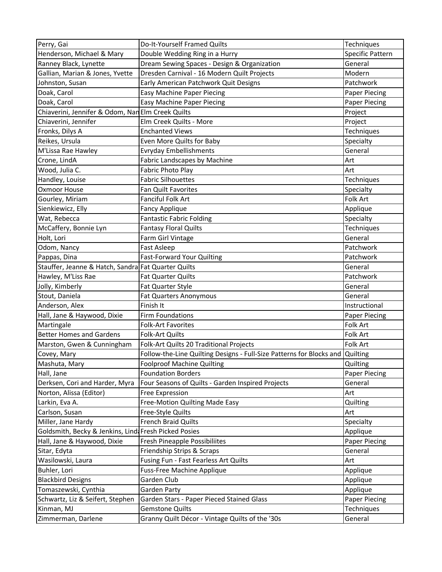| Perry, Gai                                            | Do-It-Yourself Framed Quilts                                                  | Techniques           |
|-------------------------------------------------------|-------------------------------------------------------------------------------|----------------------|
| Henderson, Michael & Mary                             | Double Wedding Ring in a Hurry                                                | Specific Pattern     |
| Ranney Black, Lynette                                 | Dream Sewing Spaces - Design & Organization                                   | General              |
| Gallian, Marian & Jones, Yvette                       | Dresden Carnival - 16 Modern Quilt Projects                                   | Modern               |
| Johnston, Susan                                       | Early American Patchwork Quit Designs                                         | Patchwork            |
| Doak, Carol                                           | Easy Machine Paper Piecing                                                    | Paper Piecing        |
| Doak, Carol                                           | <b>Easy Machine Paper Piecing</b>                                             | <b>Paper Piecing</b> |
| Chiaverini, Jennifer & Odom, Nan Elm Creek Quilts     |                                                                               | Project              |
| Chiaverini, Jennifer                                  | Elm Creek Quilts - More                                                       | Project              |
| Fronks, Dilys A                                       | <b>Enchanted Views</b>                                                        | Techniques           |
| Reikes, Ursula                                        | Even More Quilts for Baby                                                     | Specialty            |
| M'Lissa Rae Hawley                                    | <b>Evryday Embellishments</b>                                                 | General              |
| Crone, LindA                                          | Fabric Landscapes by Machine                                                  | Art                  |
| Wood, Julia C.                                        | Fabric Photo Play                                                             | Art                  |
| Handley, Louise                                       | <b>Fabric Silhouettes</b>                                                     | Techniques           |
| Oxmoor House                                          | Fan Quilt Favorites                                                           | Specialty            |
| Gourley, Miriam                                       | Fanciful Folk Art                                                             | Folk Art             |
| Sienkiewicz, Elly                                     | <b>Fancy Applique</b>                                                         | Applique             |
| Wat, Rebecca                                          | <b>Fantastic Fabric Folding</b>                                               | Specialty            |
| McCaffery, Bonnie Lyn                                 | <b>Fantasy Floral Quilts</b>                                                  | Techniques           |
| Holt, Lori                                            | Farm Girl Vintage                                                             | General              |
| Odom, Nancy                                           | Fast Asleep                                                                   | Patchwork            |
| Pappas, Dina                                          | <b>Fast-Forward Your Quilting</b>                                             | Patchwork            |
| Stauffer, Jeanne & Hatch, Sandra Fat Quarter Quilts   |                                                                               | General              |
| Hawley, M'Liss Rae                                    | Fat Quarter Quilts                                                            | Patchwork            |
| Jolly, Kimberly                                       | Fat Quarter Style                                                             | General              |
| Stout, Daniela                                        | <b>Fat Quarters Anonymous</b>                                                 | General              |
| Anderson, Alex                                        | Finish It                                                                     | Instructional        |
| Hall, Jane & Haywood, Dixie                           | <b>Firm Foundations</b>                                                       | Paper Piecing        |
| Martingale                                            | <b>Folk-Art Favorites</b>                                                     | Folk Art             |
| <b>Better Homes and Gardens</b>                       | Folk-Art Quilts                                                               | Folk Art             |
| Marston, Gwen & Cunningham                            | Folk-Art Quilts 20 Traditional Projects                                       | Folk Art             |
| Covey, Mary                                           | Follow-the-Line Quilting Designs - Full-Size Patterns for Blocks and Quilting |                      |
| Mashuta, Mary                                         | Foolproof Machine Quilting                                                    | Quilting             |
| Hall, Jane                                            | <b>Foundation Borders</b>                                                     | <b>Paper Piecing</b> |
| Derksen, Cori and Harder, Myra                        | Four Seasons of Quilts - Garden Inspired Projects                             | General              |
| Norton, Alissa (Editor)                               | Free Expression                                                               | Art                  |
| Larkin, Eva A.                                        | Free-Motion Quilting Made Easy                                                | Quilting             |
| Carlson, Susan                                        | Free-Style Quilts                                                             | Art                  |
| Miller, Jane Hardy                                    | <b>French Braid Quilts</b>                                                    | Specialty            |
| Goldsmith, Becky & Jenkins, Lind: Fresh Picked Posies |                                                                               | Applique             |
| Hall, Jane & Haywood, Dixie                           | Fresh Pineapple Possibiliites                                                 | <b>Paper Piecing</b> |
| Sitar, Edyta                                          | Friendship Strips & Scraps                                                    | General              |
| Wasilowski, Laura                                     | Fusing Fun - Fast Fearless Art Quilts                                         | Art                  |
| Buhler, Lori                                          | <b>Fuss-Free Machine Applique</b>                                             | Applique             |
| <b>Blackbird Designs</b>                              | Garden Club                                                                   | Applique             |
| Tomaszewski, Cynthia                                  | <b>Garden Party</b>                                                           | Applique             |
| Schwartz, Liz & Seifert, Stephen                      | Garden Stars - Paper Pieced Stained Glass                                     | Paper Piecing        |
| Kinman, MJ                                            | <b>Gemstone Quilts</b>                                                        | Techniques           |
| Zimmerman, Darlene                                    | Granny Quilt Décor - Vintage Quilts of the '30s                               | General              |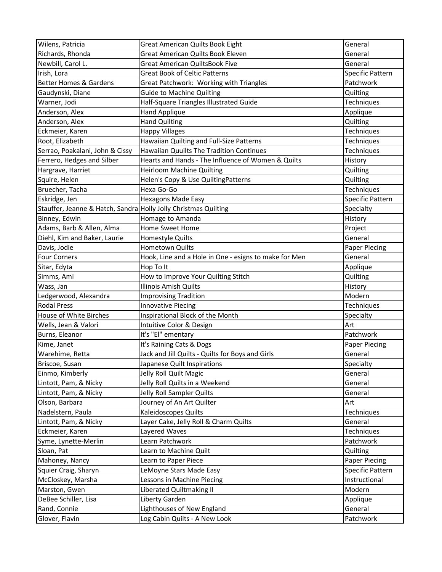| Wilens, Patricia                                                | Great American Quilts Book Eight                      | General              |
|-----------------------------------------------------------------|-------------------------------------------------------|----------------------|
| Richards, Rhonda                                                | <b>Great American Quilts Book Eleven</b>              | General              |
| Newbill, Carol L.                                               | <b>Great American QuiltsBook Five</b>                 | General              |
| Irish, Lora                                                     | <b>Great Book of Celtic Patterns</b>                  | Specific Pattern     |
| <b>Better Homes &amp; Gardens</b>                               | Great Patchwork: Working with Triangles               | Patchwork            |
| Gaudynski, Diane                                                | <b>Guide to Machine Quilting</b>                      | Quilting             |
| Warner, Jodi                                                    | Half-Square Triangles Illustrated Guide               | Techniques           |
| Anderson, Alex                                                  | <b>Hand Applique</b>                                  | Applique             |
| Anderson, Alex                                                  | <b>Hand Quilting</b>                                  | Quilting             |
| Eckmeier, Karen                                                 | <b>Happy Villages</b>                                 | Techniques           |
| Root, Elizabeth                                                 | Hawaiian Quilting and Full-Size Patterns              | Techniques           |
| Serrao, Poakalani, John & Cissy                                 | <b>Hawaiian Quuilts The Tradition Continues</b>       | Techniques           |
| Ferrero, Hedges and Silber                                      | Hearts and Hands - The Influence of Women & Quilts    | History              |
| Hargrave, Harriet                                               | <b>Heirloom Machine Quilting</b>                      | Quilting             |
| Squire, Helen                                                   | Helen's Copy & Use QuiltingPatterns                   | Quilting             |
| Bruecher, Tacha                                                 | Hexa Go-Go                                            | Techniques           |
| Eskridge, Jen                                                   | <b>Hexagons Made Easy</b>                             | Specific Pattern     |
| Stauffer, Jeanne & Hatch, Sandra Holly Jolly Christmas Quilting |                                                       | Specialty            |
| Binney, Edwin                                                   | Homage to Amanda                                      | History              |
| Adams, Barb & Allen, Alma                                       | Home Sweet Home                                       | Project              |
| Diehl, Kim and Baker, Laurie                                    | Homestyle Quilts                                      | General              |
| Davis, Jodie                                                    | Hometown Quilts                                       | <b>Paper Piecing</b> |
| <b>Four Corners</b>                                             | Hook, Line and a Hole in One - esigns to make for Men | General              |
| Sitar, Edyta                                                    | Hop To It                                             | Applique             |
| Simms, Ami                                                      | How to Improve Your Quilting Stitch                   | Quilting             |
| Wass, Jan                                                       | <b>Illinois Amish Quilts</b>                          | History              |
| Ledgerwood, Alexandra                                           | <b>Improvising Tradition</b>                          | Modern               |
| <b>Rodal Press</b>                                              | <b>Innovative Piecing</b>                             | Techniques           |
| House of White Birches                                          | Inspirational Block of the Month                      | Specialty            |
| Wells, Jean & Valori                                            | Intuitive Color & Design                              | Art                  |
| Burns, Eleanor                                                  | It's "El" ementary                                    | Patchwork            |
| Kime, Janet                                                     | It's Raining Cats & Dogs                              | Paper Piecing        |
| Warehime, Retta                                                 | Jack and Jill Quilts - Quilts for Boys and Girls      | General              |
| Briscoe, Susan                                                  | Japanese Quilt Inspirations                           | Specialty            |
| Einmo, Kimberly                                                 | Jelly Roll Quilt Magic                                | General              |
| Lintott, Pam, & Nicky                                           | Jelly Roll Quilts in a Weekend                        | General              |
| Lintott, Pam, & Nicky                                           | Jelly Roll Sampler Quilts                             | General              |
| Olson, Barbara                                                  | Journey of An Art Quilter                             | Art                  |
| Nadelstern, Paula                                               | Kaleidoscopes Quilts                                  | Techniques           |
| Lintott, Pam, & Nicky                                           | Layer Cake, Jelly Roll & Charm Quilts                 | General              |
| Eckmeier, Karen                                                 | Layered Waves                                         | Techniques           |
| Syme, Lynette-Merlin                                            | Learn Patchwork                                       | Patchwork            |
| Sloan, Pat                                                      | Learn to Machine Quilt                                | Quilting             |
| Mahoney, Nancy                                                  | Learn to Paper Piece                                  | Paper Piecing        |
| Squier Craig, Sharyn                                            | LeMoyne Stars Made Easy                               | Specific Pattern     |
| McCloskey, Marsha                                               | Lessons in Machine Piecing                            | Instructional        |
| Marston, Gwen                                                   | Liberated Quiltmaking II                              | Modern               |
| DeBee Schiller, Lisa                                            | Liberty Garden                                        | Applique             |
| Rand, Connie                                                    | Lighthouses of New England                            | General              |
| Glover, Flavin                                                  | Log Cabin Quilts - A New Look                         | Patchwork            |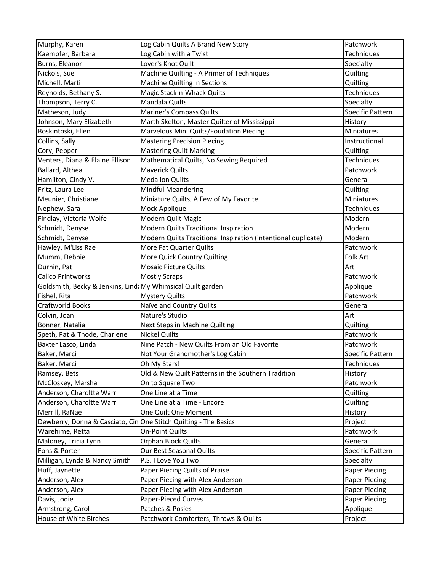| Murphy, Karen                                                    | Log Cabin Quilts A Brand New Story                            | Patchwork            |
|------------------------------------------------------------------|---------------------------------------------------------------|----------------------|
| Kaempfer, Barbara                                                | Log Cabin with a Twist                                        | Techniques           |
| Burns, Eleanor                                                   | Lover's Knot Quilt                                            | Specialty            |
| Nickols, Sue                                                     | Machine Quilting - A Primer of Techniques                     | Quilting             |
| Michell, Marti                                                   | Machine Quilting in Sections                                  | Quilting             |
| Reynolds, Bethany S.                                             | Magic Stack-n-Whack Quilts                                    | Techniques           |
| Thompson, Terry C.                                               | Mandala Quilts                                                | Specialty            |
| Matheson, Judy                                                   | Mariner's Compass Quilts                                      | Specific Pattern     |
| Johnson, Mary Elizabeth                                          | Marth Skelton, Master Quilter of Mississippi                  | History              |
| Roskintoski, Ellen                                               | Marvelous Mini Quilts/Foudation Piecing                       | Miniatures           |
| Collins, Sally                                                   | <b>Mastering Precision Piecing</b>                            | Instructional        |
| Cory, Pepper                                                     | <b>Mastering Quilt Marking</b>                                | Quilting             |
| Venters, Diana & Elaine Ellison                                  | Mathematical Quilts, No Sewing Required                       | Techniques           |
| Ballard, Althea                                                  | <b>Maverick Quilts</b>                                        | Patchwork            |
| Hamilton, Cindy V.                                               | <b>Medalion Quilts</b>                                        | General              |
| Fritz, Laura Lee                                                 | <b>Mindful Meandering</b>                                     | Quilting             |
| Meunier, Christiane                                              | Miniature Quilts, A Few of My Favorite                        | Miniatures           |
| Nephew, Sara                                                     | Mock Applique                                                 | Techniques           |
| Findlay, Victoria Wolfe                                          | Modern Quilt Magic                                            | Modern               |
| Schmidt, Denyse                                                  | Modern Quilts Traditional Inspiration                         | Modern               |
| Schmidt, Denyse                                                  | Modern Quilts Traditional Inspiration (intentional duplicate) | Modern               |
| Hawley, M'Liss Rae                                               | More Fat Quarter Quilts                                       | Patchwork            |
| Mumm, Debbie                                                     | More Quick Country Quilting                                   | Folk Art             |
| Durhin, Pat                                                      | <b>Mosaic Picture Quilts</b>                                  | Art                  |
| <b>Calico Printworks</b>                                         | <b>Mostly Scraps</b>                                          | Patchwork            |
| Goldsmith, Becky & Jenkins, Lind: My Whimsical Quilt garden      |                                                               | Applique             |
| Fishel, Rita                                                     | <b>Mystery Quilts</b>                                         | Patchwork            |
| <b>Craftworld Books</b>                                          | Naïve and Country Quilts                                      | General              |
| Colvin, Joan                                                     | Nature's Studio                                               | Art                  |
| Bonner, Natalia                                                  | Next Steps in Machine Quilting                                | Quilting             |
| Speth, Pat & Thode, Charlene                                     | <b>Nickel Quilts</b>                                          | Patchwork            |
| Baxter Lasco, Linda                                              | Nine Patch - New Quilts From an Old Favorite                  | Patchwork            |
| Baker, Marci                                                     | Not Your Grandmother's Log Cabin                              | Specific Pattern     |
| Baker, Marci                                                     | Oh My Stars!                                                  | Techniques           |
| Ramsey, Bets                                                     | Old & New Quilt Patterns in the Southern Tradition            | History              |
| McCloskey, Marsha                                                | On to Square Two                                              | Patchwork            |
| Anderson, Charoltte Warr                                         | One Line at a Time                                            | Quilting             |
| Anderson, Charoltte Warr                                         | One Line at a Time - Encore                                   | Quilting             |
| Merrill, RaNae                                                   | One Quilt One Moment                                          | History              |
| Dewberry, Donna & Casciato, Cin One Stitch Quilting - The Basics |                                                               | Project              |
| Warehime, Retta                                                  | <b>On-Point Quilts</b>                                        | Patchwork            |
| Maloney, Tricia Lynn                                             |                                                               |                      |
| Fons & Porter                                                    | Orphan Block Quilts                                           | General              |
|                                                                  | Our Best Seasonal Quilts                                      | Specific Pattern     |
| Milligan, Lynda & Nancy Smith                                    | P.S. I Love You Two!                                          | Specialty            |
| Huff, Jaynette                                                   | Paper Piecing Quilts of Praise                                | Paper Piecing        |
| Anderson, Alex                                                   | Paper Piecing with Alex Anderson                              | <b>Paper Piecing</b> |
| Anderson, Alex                                                   | Paper Piecing with Alex Anderson                              | <b>Paper Piecing</b> |
| Davis, Jodie                                                     | <b>Paper-Pieced Curves</b>                                    | <b>Paper Piecing</b> |
| Armstrong, Carol                                                 | Patches & Posies                                              | Applique             |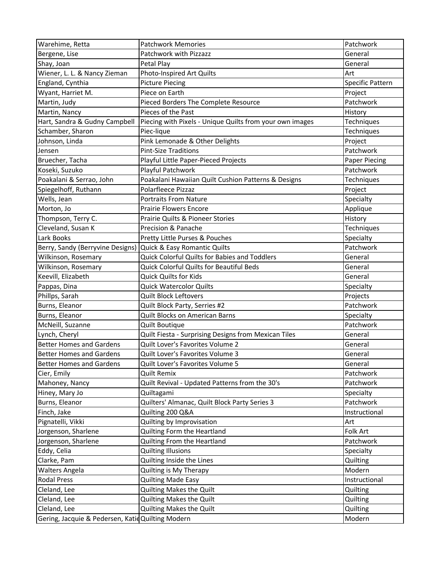| Warehime, Retta                                   | <b>Patchwork Memories</b>                                | Patchwork        |
|---------------------------------------------------|----------------------------------------------------------|------------------|
| Bergene, Lise                                     | Patchwork with Pizzazz                                   | General          |
| Shay, Joan                                        | Petal Play                                               | General          |
| Wiener, L. L. & Nancy Zieman                      | Photo-Inspired Art Quilts                                | Art              |
| England, Cynthia                                  | <b>Picture Piecing</b>                                   | Specific Pattern |
| Wyant, Harriet M.                                 | Piece on Earth                                           | Project          |
| Martin, Judy                                      | Pieced Borders The Complete Resource                     | Patchwork        |
| Martin, Nancy                                     | Pieces of the Past                                       | History          |
| Hart, Sandra & Gudny Campbell                     | Piecing with Pixels - Unique Quilts from your own images | Techniques       |
| Schamber, Sharon                                  | Piec-lique                                               | Techniques       |
| Johnson, Linda                                    | Pink Lemonade & Other Delights                           | Project          |
| Jensen                                            | <b>Pint-Size Traditions</b>                              | Patchwork        |
| Bruecher, Tacha                                   | Playful Little Paper-Pieced Projects                     | Paper Piecing    |
| Koseki, Suzuko                                    | Playful Patchwork                                        | Patchwork        |
| Poakalani & Serrao, John                          | Poakalani Hawaiian Quilt Cushion Patterns & Designs      | Techniques       |
| Spiegelhoff, Ruthann                              | Polarfleece Pizzaz                                       | Project          |
| Wells, Jean                                       | <b>Portraits From Nature</b>                             | Specialty        |
| Morton, Jo                                        | <b>Prairie Flowers Encore</b>                            | Applique         |
| Thompson, Terry C.                                | Prairie Quilts & Pioneer Stories                         | History          |
| Cleveland, Susan K                                | Precision & Panache                                      | Techniques       |
| Lark Books                                        | Pretty Little Purses & Pouches                           | Specialty        |
| Berry, Sandy (Berryvine Designs)                  | Quick & Easy Romantic Quilts                             | Patchwork        |
| Wilkinson, Rosemary                               | Quick Colorful Quilts for Babies and Toddlers            | General          |
| Wilkinson, Rosemary                               | Quick Colorful Quilts for Beautiful Beds                 | General          |
| Keevill, Elizabeth                                | <b>Quick Quilts for Kids</b>                             | General          |
| Pappas, Dina                                      | <b>Quick Watercolor Quilts</b>                           | Specialty        |
| Phillps, Sarah                                    | <b>Quilt Block Leftovers</b>                             | Projects         |
| Burns, Eleanor                                    | Quilt Block Party, Serries #2                            | Patchwork        |
| Burns, Eleanor                                    | Quilt Blocks on American Barns                           | Specialty        |
| McNeill, Suzanne                                  | <b>Quilt Boutique</b>                                    | Patchwork        |
| Lynch, Cheryl                                     | Quilt Fiesta - Surprising Designs from Mexican Tiles     | General          |
| <b>Better Homes and Gardens</b>                   | Quilt Lover's Favorites Volume 2                         | General          |
| <b>Better Homes and Gardens</b>                   | Quilt Lover's Favorites Volume 3                         | General          |
| <b>Better Homes and Gardens</b>                   | Quilt Lover's Favorites Volume 5                         | General          |
| Cier, Emily                                       | <b>Quilt Remix</b>                                       | Patchwork        |
| Mahoney, Nancy                                    | Quilt Revival - Updated Patterns from the 30's           | Patchwork        |
| Hiney, Mary Jo                                    | Quiltagami                                               | Specialty        |
| Burns, Eleanor                                    | Quilters' Almanac, Quilt Block Party Series 3            | Patchwork        |
| Finch, Jake                                       | Quilting 200 Q&A                                         | Instructional    |
| Pignatelli, Vikki                                 | Quilting by Improvisation                                | Art              |
| Jorgenson, Sharlene                               | Quilting Form the Heartland                              | Folk Art         |
| Jorgenson, Sharlene                               | Quilting From the Heartland                              | Patchwork        |
| Eddy, Celia                                       | <b>Quilting Illusions</b>                                | Specialty        |
| Clarke, Pam                                       | Quilting Inside the Lines                                | Quilting         |
| <b>Walters Angela</b>                             | Quilting is My Therapy                                   | Modern           |
| <b>Rodal Press</b>                                | <b>Quilting Made Easy</b>                                | Instructional    |
| Cleland, Lee                                      | Quilting Makes the Quilt                                 | Quilting         |
| Cleland, Lee                                      | Quilting Makes the Quilt                                 | Quilting         |
| Cleland, Lee                                      | Quilting Makes the Quilt                                 | Quilting         |
| Gering, Jacquie & Pedersen, Katid Quilting Modern |                                                          | Modern           |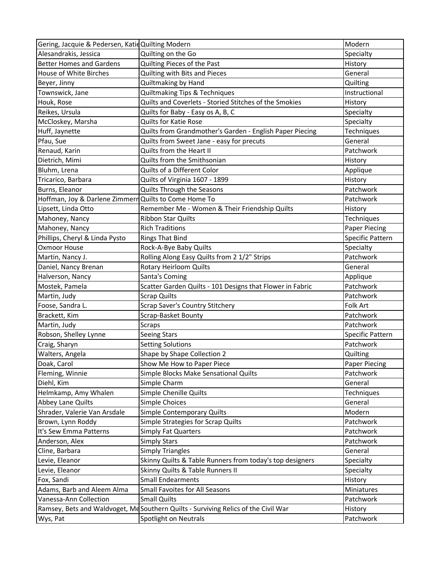| Gering, Jacquie & Pedersen, Katid Quilting Modern     |                                                                                    | Modern                  |
|-------------------------------------------------------|------------------------------------------------------------------------------------|-------------------------|
| Alesandrakis, Jessica                                 | Quilting on the Go                                                                 | Specialty               |
| <b>Better Homes and Gardens</b>                       | Quilting Pieces of the Past                                                        | History                 |
| House of White Birches                                | Quilting with Bits and Pieces                                                      | General                 |
| Beyer, Jinny                                          | Quiltmaking by Hand                                                                | Quilting                |
| Townswick, Jane                                       | Quiltmaking Tips & Techniques                                                      | Instructional           |
| Houk, Rose                                            | Quilts and Coverlets - Storied Stitches of the Smokies                             | History                 |
| Reikes, Ursula                                        | Quilts for Baby - Easy os A, B, C                                                  | Specialty               |
| McCloskey, Marsha                                     | <b>Quilts for Katie Rose</b>                                                       | Specialty               |
| Huff, Jaynette                                        | Quilts from Grandmother's Garden - English Paper Piecing                           | Techniques              |
| Pfau, Sue                                             | Quilts from Sweet Jane - easy for precuts                                          | General                 |
| Renaud, Karin                                         | Quilts from the Heart II                                                           | Patchwork               |
| Dietrich, Mimi                                        | Quilts from the Smithsonian                                                        | History                 |
| Bluhm, Lrena                                          | Quilts of a Different Color                                                        | Applique                |
| Tricarico, Barbara                                    | Quilts of Virginia 1607 - 1899                                                     | History                 |
| Burns, Eleanor                                        | Quilts Through the Seasons                                                         | Patchwork               |
| Hoffman, Joy & Darlene Zimmerr Quilts to Come Home To |                                                                                    | Patchwork               |
| Lipsett, Linda Otto                                   | Remember Me - Women & Their Friendship Quilts                                      | History                 |
| Mahoney, Nancy                                        | Ribbon Star Quilts                                                                 | Techniques              |
| Mahoney, Nancy                                        | <b>Rich Traditions</b>                                                             | Paper Piecing           |
| Phillips, Cheryl & Linda Pysto                        | <b>Rings That Bind</b>                                                             | <b>Specific Pattern</b> |
| <b>Oxmoor House</b>                                   | Rock-A-Bye Baby Quilts                                                             | Specialty               |
| Martin, Nancy J.                                      | Rolling Along Easy Quilts from 2 1/2" Strips                                       | Patchwork               |
| Daniel, Nancy Brenan                                  | <b>Rotary Heirloom Quilts</b>                                                      | General                 |
| Halverson, Nancy                                      | Santa's Coming                                                                     | Applique                |
| Mostek, Pamela                                        | Scatter Garden Quilts - 101 Designs that Flower in Fabric                          | Patchwork               |
| Martin, Judy                                          | <b>Scrap Quilts</b>                                                                | Patchwork               |
| Foose, Sandra L.                                      | Scrap Saver's Country Stitchery                                                    | Folk Art                |
| Brackett, Kim                                         | Scrap-Basket Bounty                                                                | Patchwork               |
| Martin, Judy                                          | <b>Scraps</b>                                                                      | Patchwork               |
| Robson, Shelley Lynne                                 | <b>Seeing Stars</b>                                                                | Specific Pattern        |
| Craig, Sharyn                                         | <b>Setting Solutions</b>                                                           | Patchwork               |
| Walters, Angela                                       | Shape by Shape Collection 2                                                        | Quilting                |
| Doak, Carol                                           | Show Me How to Paper Piece                                                         | <b>Paper Piecing</b>    |
| Fleming, Winnie                                       | Simple Blocks Make Sensational Quilts                                              | Patchwork               |
| Diehl, Kim                                            | Simple Charm                                                                       | General                 |
| Helmkamp, Amy Whalen                                  | Simple Chenille Quilts                                                             | Techniques              |
| Abbey Lane Quilts                                     | <b>Simple Choices</b>                                                              | General                 |
| Shrader, Valerie Van Arsdale                          | Simple Contemporary Quilts                                                         | Modern                  |
| Brown, Lynn Roddy                                     | Simple Strategies for Scrap Quilts                                                 | Patchwork               |
| It's Sew Emma Patterns                                | <b>Simply Fat Quarters</b>                                                         | Patchwork               |
| Anderson, Alex                                        | <b>Simply Stars</b>                                                                | Patchwork               |
| Cline, Barbara                                        | <b>Simply Triangles</b>                                                            | General                 |
| Levie, Eleanor                                        | Skinny Quilts & Table Runners from today's top designers                           | Specialty               |
| Levie, Eleanor                                        | Skinny Quilts & Table Runners II                                                   | Specialty               |
| Fox, Sandi                                            | <b>Small Endearments</b>                                                           | History                 |
| Adams, Barb and Aleem Alma                            | Small Favoites for All Seasons                                                     | Miniatures              |
| Vanessa-Ann Collection                                | <b>Small Quilts</b>                                                                | Patchwork               |
|                                                       | Ramsey, Bets and Waldvoget, Mc Southern Quilts - Surviving Relics of the Civil War | History                 |
| Wys, Pat                                              | Spotlight on Neutrals                                                              | Patchwork               |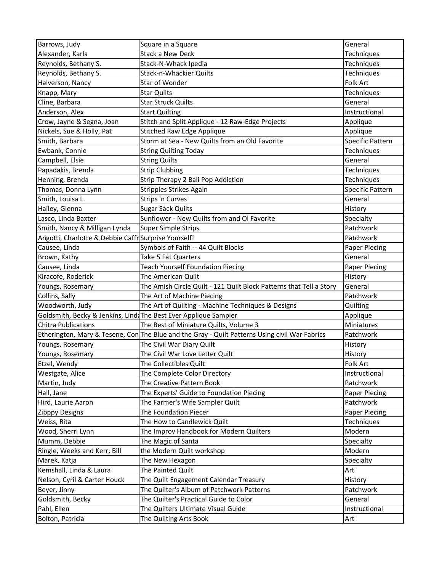| Barrows, Judy                                                    | Square in a Square                                                                             | General              |
|------------------------------------------------------------------|------------------------------------------------------------------------------------------------|----------------------|
| Alexander, Karla                                                 | <b>Stack a New Deck</b>                                                                        | Techniques           |
| Reynolds, Bethany S.                                             | Stack-N-Whack Ipedia                                                                           | Techniques           |
| Reynolds, Bethany S.                                             | Stack-n-Whackier Quilts                                                                        | Techniques           |
| Halverson, Nancy                                                 | Star of Wonder                                                                                 | Folk Art             |
| Knapp, Mary                                                      | <b>Star Quilts</b>                                                                             | Techniques           |
| Cline, Barbara                                                   | <b>Star Struck Quilts</b>                                                                      | General              |
| Anderson, Alex                                                   | <b>Start Quilting</b>                                                                          | Instructional        |
| Crow, Jayne & Segna, Joan                                        | Stitch and Split Applique - 12 Raw-Edge Projects                                               | Applique             |
| Nickels, Sue & Holly, Pat                                        | <b>Stitched Raw Edge Applique</b>                                                              | Applique             |
| Smith, Barbara                                                   | Storm at Sea - New Quilts from an Old Favorite                                                 | Specific Pattern     |
| Ewbank, Connie                                                   | <b>String Quilting Today</b>                                                                   | Techniques           |
| Campbell, Elsie                                                  | <b>String Quilts</b>                                                                           | General              |
| Papadakis, Brenda                                                | <b>Strip Clubbing</b>                                                                          | Techniques           |
| Henning, Brenda                                                  | Strip Therapy 2 Bali Pop Addiction                                                             | Techniques           |
| Thomas, Donna Lynn                                               | <b>Stripples Strikes Again</b>                                                                 | Specific Pattern     |
| Smith, Louisa L.                                                 | Strips 'n Curves                                                                               | General              |
| Hailey, Glenna                                                   | <b>Sugar Sack Quilts</b>                                                                       | History              |
| Lasco, Linda Baxter                                              | Sunflower - New Quilts from and Ol Favorite                                                    | Specialty            |
| Smith, Nancy & Milligan Lynda                                    | <b>Super Simple Strips</b>                                                                     | Patchwork            |
| Angotti, Charlotte & Debbie Caffr Surprise Yourself!             |                                                                                                | Patchwork            |
| Causee, Linda                                                    | Symbols of Faith -- 44 Quilt Blocks                                                            | Paper Piecing        |
| Brown, Kathy                                                     | Take 5 Fat Quarters                                                                            | General              |
| Causee, Linda                                                    | <b>Teach Yourself Foundation Piecing</b>                                                       | <b>Paper Piecing</b> |
| Kiracofe, Roderick                                               | The American Quilt                                                                             | History              |
| Youngs, Rosemary                                                 | The Amish Circle Quilt - 121 Quilt Block Patterns that Tell a Story                            | General              |
| Collins, Sally                                                   | The Art of Machine Piecing                                                                     | Patchwork            |
| Woodworth, Judy                                                  | The Art of Quilting - Machine Techniques & Designs                                             | Quilting             |
| Goldsmith, Becky & Jenkins, Lind: The Best Ever Applique Sampler |                                                                                                | Applique             |
| <b>Chitra Publications</b>                                       | The Best of Miniature Quilts, Volume 3                                                         | Miniatures           |
|                                                                  | Etherington, Mary & Tesene, Con The Blue and the Gray - Quilt Patterns Using civil War Fabrics | Patchwork            |
| Youngs, Rosemary                                                 | The Civil War Diary Quilt                                                                      | History              |
| Youngs, Rosemary                                                 | The Civil War Love Letter Quilt                                                                | History              |
| Etzel, Wendy                                                     | The Collectibles Quilt                                                                         | Folk Art             |
| Westgate, Alice                                                  | The Complete Color Directory                                                                   | Instructional        |
| Martin, Judy                                                     | The Creative Pattern Book                                                                      | Patchwork            |
| Hall, Jane                                                       | The Experts' Guide to Foundation Piecing                                                       | <b>Paper Piecing</b> |
| Hird, Laurie Aaron                                               | The Farmer's Wife Sampler Quilt                                                                | Patchwork            |
| Zipppy Designs                                                   | The Foundation Piecer                                                                          | Paper Piecing        |
| Weiss, Rita                                                      | The How to Candlewick Quilt                                                                    | Techniques           |
| Wood, Sherri Lynn                                                | The Improv Handbook for Modern Quilters                                                        | Modern               |
| Mumm, Debbie                                                     | The Magic of Santa                                                                             | Specialty            |
| Ringle, Weeks and Kerr, Bill                                     | the Modern Quilt workshop                                                                      | Modern               |
| Marek, Katja                                                     | The New Hexagon                                                                                | Specialty            |
| Kemshall, Linda & Laura                                          | The Painted Quilt                                                                              | Art                  |
| Nelson, Cyril & Carter Houck                                     | The Quilt Engagement Calendar Treasury                                                         | History              |
| Beyer, Jinny                                                     | The Quilter's Album of Patchwork Patterns                                                      | Patchwork            |
| Goldsmith, Becky                                                 | The Quilter's Practical Guide to Color                                                         | General              |
| Pahl, Ellen                                                      | The Quilters Ultimate Visual Guide                                                             | Instructional        |
| Bolton, Patricia                                                 | The Quilting Arts Book                                                                         | Art                  |